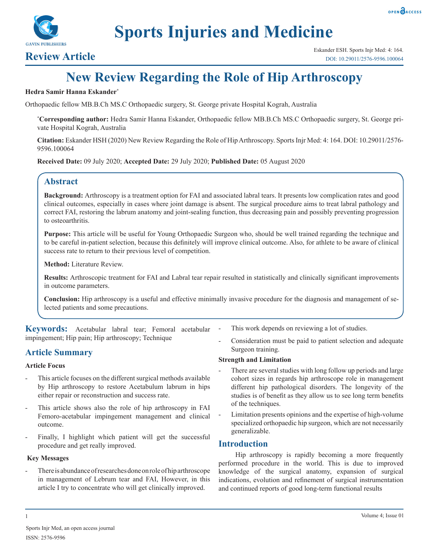



# **Sports Injuries and Medicine**

# **New Review Regarding the Role of Hip Arthroscopy**

# **Hedra Samir Hanna Eskander\***

Orthopaedic fellow MB.B.Ch MS.C Orthopaedic surgery, St. George private Hospital Kograh, Australia

**\* Corresponding author:** Hedra Samir Hanna Eskander, Orthopaedic fellow MB.B.Ch MS.C Orthopaedic surgery, St. George private Hospital Kograh, Australia

**Citation:** Eskander HSH (2020) New Review Regarding the Role of Hip Arthroscopy. Sports Injr Med: 4: 164. DOI: 10.29011/2576- 9596.100064

**Received Date:** 09 July 2020; **Accepted Date:** 29 July 2020; **Published Date:** 05 August 2020

# **Abstract**

**Background:** Arthroscopy is a treatment option for FAI and associated labral tears. It presents low complication rates and good clinical outcomes, especially in cases where joint damage is absent. The surgical procedure aims to treat labral pathology and correct FAI, restoring the labrum anatomy and joint-sealing function, thus decreasing pain and possibly preventing progression to osteoarthritis.

**Purpose:** This article will be useful for Young Orthopaedic Surgeon who, should be well trained regarding the technique and to be careful in-patient selection, because this definitely will improve clinical outcome. Also, for athlete to be aware of clinical success rate to return to their previous level of competition.

**Method:** Literature Review.

**Results:** Arthroscopic treatment for FAI and Labral tear repair resulted in statistically and clinically significant improvements in outcome parameters.

**Conclusion:** Hip arthroscopy is a useful and effective minimally invasive procedure for the diagnosis and management of selected patients and some precautions.

**Keywords:** Acetabular labral tear; Femoral acetabular impingement; Hip pain; Hip arthroscopy; Technique

# **Article Summary**

# **Article Focus**

- This article focuses on the different surgical methods available by Hip arthroscopy to restore Acetabulum labrum in hips either repair or reconstruction and success rate.
- This article shows also the role of hip arthroscopy in FAI Femoro-acetabular impingement management and clinical outcome.
- Finally, I highlight which patient will get the successful procedure and get really improved.

# **Key Messages**

There is abundance of researches done on role of hip arthroscope in management of Lebrum tear and FAI, However, in this article I try to concentrate who will get clinically improved.

- This work depends on reviewing a lot of studies.
- Consideration must be paid to patient selection and adequate Surgeon training.

# **Strength and Limitation**

- There are several studies with long follow up periods and large cohort sizes in regards hip arthroscope role in management different hip pathological disorders. The longevity of the studies is of benefit as they allow us to see long term benefits of the techniques.
- Limitation presents opinions and the expertise of high-volume specialized orthopaedic hip surgeon, which are not necessarily generalizable.

# **Introduction**

Hip arthroscopy is rapidly becoming a more frequently performed procedure in the world. This is due to improved knowledge of the surgical anatomy, expansion of surgical indications, evolution and refinement of surgical instrumentation and continued reports of good long-term functional results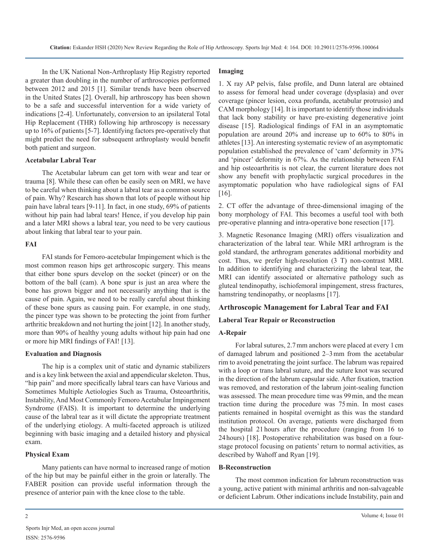In the UK National Non-Arthroplasty Hip Registry reported a greater than doubling in the number of arthroscopies performed between 2012 and 2015 [1]. Similar trends have been observed in the United States [2]. Overall, hip arthroscopy has been shown to be a safe and successful intervention for a wide variety of indications [2-4]. Unfortunately, conversion to an ipsilateral Total Hip Replacement (THR) following hip arthroscopy is necessary up to 16% of patients [5-7]. Identifying factors pre-operatively that might predict the need for subsequent arthroplasty would benefit both patient and surgeon.

# **Acetabular Labral Tear**

The Acetabular labrum can get torn with wear and tear or trauma [8]. While these can often be easily seen on MRI, we have to be careful when thinking about a labral tear as a common source of pain. Why? Research has shown that lots of people without hip pain have labral tears [9-11]. In fact, in one study, 69% of patients without hip pain had labral tears! Hence, if you develop hip pain and a later MRI shows a labral tear, you need to be very cautious about linking that labral tear to your pain.

### **FAI**

FAI stands for Femoro-acetebular Impingement which is the most common reason hips get arthroscopic surgery. This means that either bone spurs develop on the socket (pincer) or on the bottom of the ball (cam). A bone spur is just an area where the bone has grown bigger and not necessarily anything that is the cause of pain. Again, we need to be really careful about thinking of these bone spurs as causing pain. For example, in one study, the pincer type was shown to be protecting the joint from further arthritic breakdown and not hurting the joint [12]. In another study, more than 90% of healthy young adults without hip pain had one or more hip MRI findings of FAI! [13].

#### **Evaluation and Diagnosis**

The hip is a complex unit of static and dynamic stabilizers and is a key link between the axial and appendicular skeleton. Thus, "hip pain" and more specifically labral tears can have Various and Sometimes Multiple Aetiologies Such as Trauma, Osteoarthritis, Instability, And Most Commonly Femoro Acetabular Impingement Syndrome (FAIS). It is important to determine the underlying cause of the labral tear as it will dictate the appropriate treatment of the underlying etiology. A multi-faceted approach is utilized beginning with basic imaging and a detailed history and physical exam.

# **Physical Exam**

Many patients can have normal to increased range of motion of the hip but may be painful either in the groin or laterally. The FABER position can provide useful information through the presence of anterior pain with the knee close to the table.

#### **Imaging**

1. X ray AP pelvis, false profile, and Dunn lateral are obtained to assess for femoral head under coverage (dysplasia) and over coverage (pincer lesion, coxa profunda, acetabular protrusio) and CAM morphology [14]. It is important to identify those individuals that lack bony stability or have pre-existing degenerative joint disease [15]. Radiological findings of FAI in an asymptomatic population are around 20% and increase up to 60% to 80% in athletes [13]. An interesting systematic review of an asymptomatic population established the prevalence of 'cam' deformity in 37% and 'pincer' deformity in 67%. As the relationship between FAI and hip osteoarthritis is not clear, the current literature does not show any benefit with prophylactic surgical procedures in the asymptomatic population who have radiological signs of FAI [16].

2. CT offer the advantage of three-dimensional imaging of the bony morphology of FAI. This becomes a useful tool with both pre-operative planning and intra-operative bone resection [17].

3. Magnetic Resonance Imaging (MRI) offers visualization and characterization of the labral tear. While MRI arthrogram is the gold standard, the arthrogram generates additional morbidity and cost. Thus, we prefer high-resolution (3 T) non-contrast MRI. In addition to identifying and characterizing the labral tear, the MRI can identify associated or alternative pathology such as gluteal tendinopathy, ischiofemoral impingement, stress fractures, hamstring tendinopathy, or neoplasms [17].

# **Arthroscopic Management for Labral Tear and FAI**

# **Laberal Tear Repair or Reconstruction**

# **A-Repair**

For labral sutures, 2.7mm anchors were placed at every 1 cm of damaged labrum and positioned 2–3mm from the acetabular rim to avoid penetrating the joint surface. The labrum was repaired with a loop or trans labral suture, and the suture knot was secured in the direction of the labrum capsular side. After fixation, traction was removed, and restoration of the labrum joint-sealing function was assessed. The mean procedure time was 99min, and the mean traction time during the procedure was 75min. In most cases patients remained in hospital overnight as this was the standard institution protocol. On average, patients were discharged from the hospital 21hours after the procedure (ranging from 16 to 24hours) [18]. Postoperative rehabilitation was based on a fourstage protocol focusing on patients' return to normal activities, as described by Wahoff and Ryan [19].

#### **B-Reconstruction**

The most common indication for labrum reconstruction was a young, active patient with minimal arthritis and non-salvageable or deficient Labrum. Other indications include Instability, pain and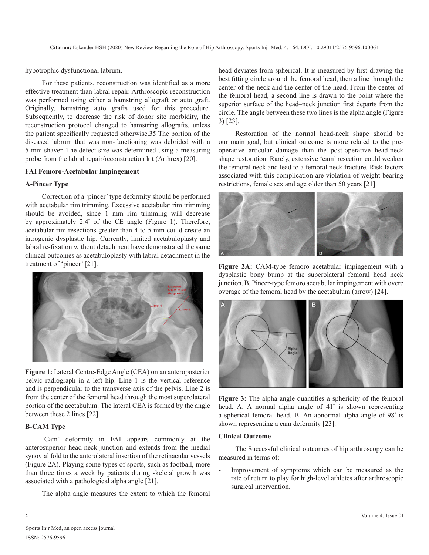hypotrophic dysfunctional labrum.

For these patients, reconstruction was identified as a more effective treatment than labral repair. Arthroscopic reconstruction was performed using either a hamstring allograft or auto graft. Originally, hamstring auto grafts used for this procedure. Subsequently, to decrease the risk of donor site morbidity, the reconstruction protocol changed to hamstring allografts, unless the patient specifically requested otherwise.35 The portion of the diseased labrum that was non-functioning was debrided with a 5-mm shaver. The defect size was determined using a measuring probe from the labral repair/reconstruction kit (Arthrex) [20].

# **FAI Femoro-Acetabular Impingement**

# **A-Pincer Type**

Correction of a 'pincer' type deformity should be performed with acetabular rim trimming. Excessive acetabular rim trimming should be avoided, since 1 mm rim trimming will decrease by approximately 2.4° of the CE angle (Figure 1). Therefore, acetabular rim resections greater than 4 to 5 mm could create an iatrogenic dysplastic hip. Currently, limited acetabuloplasty and labral re-fixation without detachment have demonstrated the same clinical outcomes as acetabuloplasty with labral detachment in the treatment of 'pincer' [21].



**Figure 1:** Lateral Centre-Edge Angle (CEA) on an anteroposterior pelvic radiograph in a left hip. Line 1 is the vertical reference and is perpendicular to the transverse axis of the pelvis. Line 2 is from the center of the femoral head through the most superolateral portion of the acetabulum. The lateral CEA is formed by the angle between these 2 lines [22].

# **B-CAM Type**

'Cam' deformity in FAI appears commonly at the anterosuperior head-neck junction and extends from the medial synovial fold to the anterolateral insertion of the retinacular vessels (Figure 2A). Playing some types of sports, such as football, more than three times a week by patients during skeletal growth was associated with a pathological alpha angle [21].

The alpha angle measures the extent to which the femoral

head deviates from spherical. It is measured by first drawing the best fitting circle around the femoral head, then a line through the center of the neck and the center of the head. From the center of the femoral head, a second line is drawn to the point where the superior surface of the head–neck junction first departs from the circle. The angle between these two lines is the alpha angle (Figure 3) [23].

Restoration of the normal head-neck shape should be our main goal, but clinical outcome is more related to the preoperative articular damage than the post-operative head-neck shape restoration. Rarely, extensive 'cam' resection could weaken the femoral neck and lead to a femoral neck fracture. Risk factors associated with this complication are violation of weight-bearing restrictions, female sex and age older than 50 years [21].



**Figure 2A:** CAM-type femoro acetabular impingement with a dysplastic bony bump at the superolateral femoral head neck junction. B, Pincer-type femoro acetabular impingement with overc overage of the femoral head by the acetabulum (arrow) [24].



**Figure 3:** The alpha angle quantifies a sphericity of the femoral head. A. A normal alpha angle of 41° is shown representing a spherical femoral head. B. An abnormal alpha angle of 98° is shown representing a cam deformity [23].

# **Clinical Outcome**

The Successful clinical outcomes of hip arthroscopy can be measured in terms of:

Improvement of symptoms which can be measured as the rate of return to play for high-level athletes after arthroscopic surgical intervention.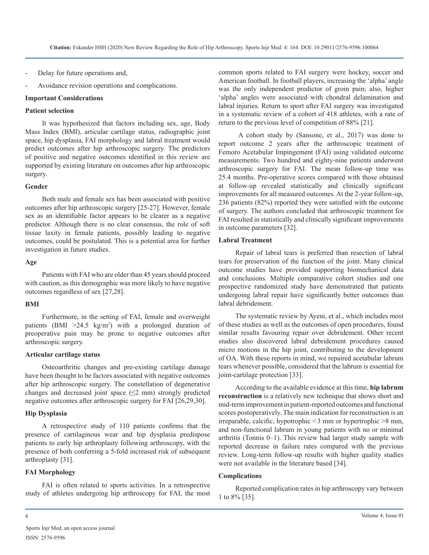- Delay for future operations and,
- Avoidance revision operations and complications.

## **Important Considerations**

## **Patient selection**

It was hypothesized that factors including sex, age, Body Mass Index (BMI), articular cartilage status, radiographic joint space, hip dysplasia, FAI morphology and labral treatment would predict outcomes after hip arthroscopic surgery. The predictors of positive and negative outcomes identified in this review are supported by existing literature on outcomes after hip arthroscopic surgery.

## **Gender**

Both male and female sex has been associated with positive outcomes after hip arthroscopic surgery [25-27]. However, female sex as an identifiable factor appears to be clearer as a negative predictor. Although there is no clear consensus, the role of soft tissue laxity in female patients, possibly leading to negative outcomes, could be postulated. This is a potential area for further investigation in future studies.

#### **Age**

Patients with FAI who are older than 45 years should proceed with caution, as this demographic was more likely to have negative outcomes regardless of sex [27,28].

# **BMI**

Furthermore, in the setting of FAI, female and overweight patients (BMI  $>24.5$  kg/m<sup>2</sup>) with a prolonged duration of preoperative pain may be prone to negative outcomes after arthroscopic surgery.

#### **Articular cartilage status**

Osteoarthritic changes and pre-existing cartilage damage have been thought to be factors associated with negative outcomes after hip arthroscopic surgery. The constellation of degenerative changes and decreased joint space  $(\leq 2$  mm) strongly predicted negative outcomes after arthroscopic surgery for FAI [26,29,30].

# **Hip Dysplasia**

A retrospective study of 110 patients confirms that the presence of cartilaginous wear and hip dysplasia predispose patients to early hip arthroplasty following arthroscopy, with the presence of both conferring a 5-fold increased risk of subsequent arthroplasty [31].

# **FAI Morphology**

FAI is often related to sports activities. In a retrospective study of athletes undergoing hip arthroscopy for FAI, the most

common sports related to FAI surgery were hockey, soccer and American football. In football players, increasing the 'alpha' angle was the only independent predictor of groin pain; also, higher 'alpha' angles were associated with chondral delamination and labral injuries. Return to sport after FAI surgery was investigated in a systematic review of a cohort of 418 athletes, with a rate of return to the previous level of competition of 88% [21].

 A cohort study by (Sansone, et al., 2017) was done to report outcome 2 years after the arthroscopic treatment of Femoro Acetabular Impingement (FAI) using validated outcome measurements. Two hundred and eighty-nine patients underwent arthroscopic surgery for FAI. The mean follow-up time was 25.4 months. Pre-operative scores compared with those obtained at follow-up revealed statistically and clinically significant improvements for all measured outcomes. At the 2-year follow-up, 236 patients (82%) reported they were satisfied with the outcome of surgery. The authors concluded that arthroscopic treatment for FAI resulted in statistically and clinically significant improvements in outcome parameters [32].

# **Labral Treatment**

Repair of labral tears is preferred than resection of labral tears for preservation of the function of the joint. Many clinical outcome studies have provided supporting biomechanical data and conclusions. Multiple comparative cohort studies and one prospective randomized study have demonstrated that patients undergoing labral repair have significantly better outcomes than labral debridement.

The systematic review by Ayeni, et al., which includes most of these studies as well as the outcomes of open procedures, found similar results favouring repair over debridement. Other recent studies also discovered labral debridement procedures caused micro motions in the hip joint, contributing to the development of OA. With these reports in mind, we repaired acetabular labrum tears whenever possible, considered that the labrum is essential for joint-cartilage protection [33].

According to the available evidence at this time, **hip labrum reconstruction** is a relatively new technique that shows short and mid-term improvement in patient-reported outcomes and functional scores postoperatively. The main indication for reconstruction is an irreparable, calcific, hypotrophic <3 mm or hypertrophic >8 mm, and non-functional labrum in young patients with no or minimal arthritis (Tonnis 0–1). This review had larger study sample with reported decrease in failure rates compared with the previous review. Long-term follow-up results with higher quality studies were not available in the literature based [34].

# **Complications**

Reported complication rates in hip arthroscopy vary between 1 to 8% [35].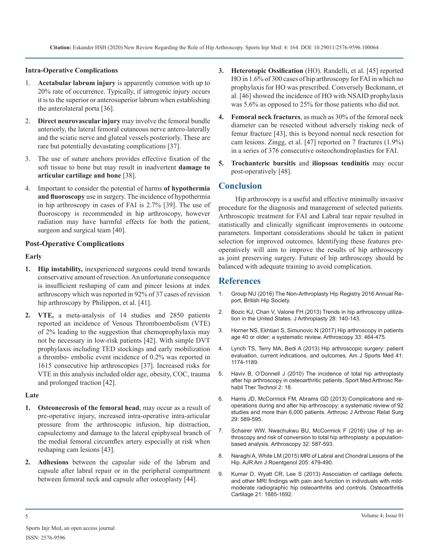# **Intra-Operative Complications**

- 1. **Acetabular labrum injury** is apparently common with up to 20% rate of occurrence. Typically, if iatrogenic injury occurs it is to the superior or anterosuperior labrum when establishing the anterolateral porta [36].
- 2. **Direct neurovascular injury** may involve the femoral bundle anteriorly, the lateral femoral cutaneous nerve antero-laterally and the sciatic nerve and gluteal vessels posteriorly. These are rare but potentially devastating complications [37].
- 3. The use of suture anchors provides effective fixation of the soft tissue to bone but may result in inadvertent **damage to articular cartilage and bone** [38].
- 4. Important to consider the potential of harms **of hypothermia and fluoroscopy** use in surgery. The incidence of hypothermia in hip arthroscopy in cases of FAI is 2.7% [39]. The use of fluoroscopy is recommended in hip arthroscopy, however radiation may have harmful effects for both the patient, surgeon and surgical team [40].

# **Post-Operative Complications**

## **Early**

- **1. Hip instability,** inexperienced surgeons could trend towards conservative amount of resection. An unfortunate consequence is insufficient reshaping of cam and pincer lesions at index arthroscopy which was reported in 92% of 37 cases of revision [hip arthroscopy by Philippon, et al. \[41\].](https://www.britishhipsociety.com/uploaded/NAHR 2016 Version 12 Final 1.pdf)
- **2. VTE,** a meta-analysis of 14 studies and 2850 patients reported an incidence of Venous Thromboembolism (VTE) of 2% leading to the suggestion that chemoprophylaxis may not be necessary in low-risk patients [42]. With simple DVT prophylaxis including TED stockings and early mobilization a thrombo- embolic event incidence of 0.2% was reported in 1615 consecutive hip arthroscopies [37]. Increased risks for VTE in this analysis included older age, obesity, COC, trauma and prolonged traction [42].

#### **Late**

- **1. Osteonecrosis of the femoral head**, may occur as a result of pre-operative injury, increased intra-operative intra-articular pressure from the arthroscopic infusion, hip distraction, capsulectomy and damage to the lateral epiphyseal branch of the medial femoral circumflex artery especially at risk when reshaping cam lesions [43].
- **2. Adhesions** [between the capsular side of the labrum and](https://www.ajronline.org/doi/pdf/10.2214/AJR.14.12581)  capsule after labral repair or in the peripheral compartment between femoral neck and capsule after osteoplasty [44].
- **3. Heterotopic Ossification** (HO). Randelli, et al. [45] reported HO in 1.6% of 300 cases of hip arthroscopy for FAI in which no prophylaxis for HO was prescribed. Conversely Beckmann, et al. [46] showed the incidence of HO with NSAID prophylaxis was 5.6% as opposed to 25% for those patients who did not.
- **4. Femoral neck fractures**, as much as 30% of the femoral neck diameter can be resected without adversely risking neck of femur fracture [43], this is beyond normal neck resection for cam lesions. Zingg, et al. [47] reported on 7 fractures (1.9%) in a series of 376 consecutive osteochondroplasties for FAI.
- **5. Trochanteric bursitis** and **iliopsoas tendinitis** may occur post-operatively [48].

# **Conclusion**

Hip arthroscopy is a useful and effective minimally invasive procedure for the diagnosis and management of selected patients. Arthroscopic treatment for FAI and Labral tear repair resulted in statistically and clinically significant improvements in outcome parameters. Important considerations should be taken in patient selection for improved outcomes. Identifying these features preoperatively will aim to improve the results of hip arthroscopy as joint preserving surgery. Future of hip arthroscopy should be balanced with adequate training to avoid complication.

# **References**

- 1. [Group NU \(2016\) The Non-Arthroplasty Hip Registry 2016 Annual Re](https://www.britishhipsociety.com/uploaded/NAHR 2016 Version 12 Final 1.pdf)port, British Hip Society.
- 2. [Bozic KJ, Chan V, Valone FH \(2013\) Trends in hip arthroscopy utiliza](https://pubmed.ncbi.nlm.nih.gov/27793498/)[tion in the United States. J Arthroplasty 28: 140-143.](https://pubmed.ncbi.nlm.nih.gov/27793498/)
- 3. [Horner NS, Ekhtiari S, Simunovic N \(2017\) Hip arthroscopy in patients](https://www.sciencedirect.com/science/article/abs/pii/S0749806316304534)  [age 40 or older: a systematic review. Arthroscopy 33: 464-475.](https://www.sciencedirect.com/science/article/abs/pii/S0749806316304534)
- 4. [Lynch TS, Terry MA, Bedi A \(2013\) Hip arthroscopic surgery: patient](https://pubmed.ncbi.nlm.nih.gov/23449836/)  [evaluation, current indications, and outcomes. Am J Sports Med 41:](https://pubmed.ncbi.nlm.nih.gov/23449836/) [1174-1189.](https://pubmed.ncbi.nlm.nih.gov/23449836/)
- 5. [Haviv B, O'Donnell J \(2010\) The incidence of total hip arthroplasty](https://www.ncbi.nlm.nih.gov/pmc/articles/PMC2924275/)  [after hip arthroscopy in osteoarthritic patients. Sport Med Arthrosc Re](https://www.ncbi.nlm.nih.gov/pmc/articles/PMC2924275/)[habil Ther Technol 2: 18.](https://www.ncbi.nlm.nih.gov/pmc/articles/PMC2924275/)
- 6. [Harris JD, McCormick FM, Abrams GD \(2013\) Complications and re](https://pubmed.ncbi.nlm.nih.gov/23544691/)[operations during and after hip arthroscopy: a systematic review of 92](https://pubmed.ncbi.nlm.nih.gov/23544691/)  [studies and more than 6,000 patients. Arthrosc J Arthrosc Relat Surg](https://pubmed.ncbi.nlm.nih.gov/23544691/)  [29: 589-595.](https://pubmed.ncbi.nlm.nih.gov/23544691/)
- 7. [Schairer WW, Nwachukwu BU, McCormick F \(2016\) Use of hip ar](https://pubmed.ncbi.nlm.nih.gov/26671201/)[throscopy and risk of conversion to total hip arthroplasty: a population](https://pubmed.ncbi.nlm.nih.gov/26671201/)[based analysis. Arthroscopy 32: 587-593.](https://pubmed.ncbi.nlm.nih.gov/26671201/)
- 8. [Naraghi A, White LM \(2015\) MRI of Labral and Chondral Lesions of the](https://www.ajronline.org/doi/pdf/10.2214/AJR.14.12581)  Hip. AJR Am J Roentgenol 205: 479-490.
- 9. [Kumar D, Wyatt CR, Lee S \(2013\) Association of cartilage defects,](https://pubmed.ncbi.nlm.nih.gov/23948977/)  [and other MRI findings with pain and function in individuals with mild](https://pubmed.ncbi.nlm.nih.gov/23948977/)[moderate radiographic hip osteoarthritis and controls. Osteoarthritis](https://pubmed.ncbi.nlm.nih.gov/23948977/) [Cartilage 21: 1685-1692.](https://pubmed.ncbi.nlm.nih.gov/23948977/)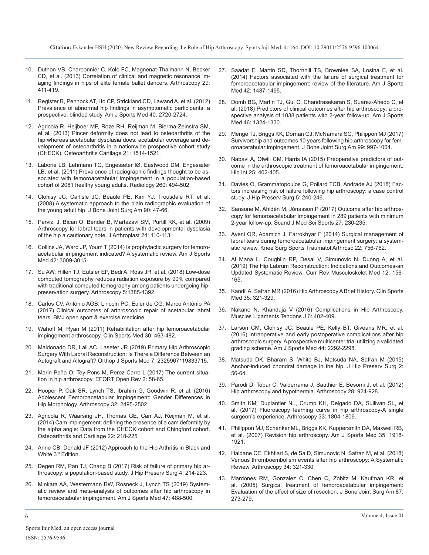- 10. Du[thon VB, Charbonnier C, Kolo FC, Magnenat-Thalmann N, Becker](https://pubmed.ncbi.nlm.nih.gov/23332372/) [CD, et al. \(2013\) Correlation of clinical and magnetic resonance im](https://pubmed.ncbi.nlm.nih.gov/23332372/)[aging findings in hips of elite female ballet dancers. Arthroscopy 29:](https://pubmed.ncbi.nlm.nih.gov/23332372/)  [411-419.](https://pubmed.ncbi.nlm.nih.gov/23332372/)
- 11. [Register B, Pennock AT, Ho CP, Strickland CD, Lawand A, et al. \(2012\)](https://journals.sagepub.com/doi/10.1177/0363546512462124) Prevalence of abnormal hip findings in asymptomatic participants: a [prospective, blinded study. Am J Sports Med 40: 2720-2724.](https://journals.sagepub.com/doi/10.1177/0363546512462124)
- 12. [Agricola R, Heijboer MP, Roze RH, Reijman M, Bierma-Zeinstra SM,](https://pubmed.ncbi.nlm.nih.gov/23850552/)  et al. (2013) Pincer deformity does not lead to osteoarthritis of the [hip whereas acetabular dysplasia does: acetabular coverage and de](https://pubmed.ncbi.nlm.nih.gov/23850552/)[velopment of osteoarthritis in a nationwide prospective cohort study](https://pubmed.ncbi.nlm.nih.gov/23850552/)  [\(CHECK\). Osteoarthritis Cartilage 21: 1514-1521.](https://pubmed.ncbi.nlm.nih.gov/23850552/)
- 13. [Laborie LB, Lehmann TG, Engesæter IØ, Eastwood DM, Engesæter](https://pubmed.ncbi.nlm.nih.gov/21613440/)  LB, et al. (2011) Prevalence of radiographic findings thought to be as[sociated with femoroacetabular impingement in a population-based](https://pubmed.ncbi.nlm.nih.gov/21613440/)  [cohort of 2081 healthy young adults. Radiology 260: 494-502.](https://pubmed.ncbi.nlm.nih.gov/21613440/)
- 14. [Clohisy JC, Carlisle JC, Beaulé PE, Kim YJ, Trousdale RT, et al.](https://www.ncbi.nlm.nih.gov/pmc/articles/PMC2682767/) (2008) A systematic approach to the plain radiographic evaluation of [the young adult hip. J Bone Joint Surg Am 90: 47-66.](https://www.ncbi.nlm.nih.gov/pmc/articles/PMC2682767/)
- 15. [Parvizi J, Bican O, Bender B, Martazavi SM, Purtill KK, et al. \(2009\)](https://pubmed.ncbi.nlm.nih.gov/19596542/)  Arthroscopy for labral tears in patients with developmental dysplasia [of the hip a cautionary note. J Arthroplast 24: 110-113.](https://pubmed.ncbi.nlm.nih.gov/19596542/)
- 16. [Collins JA, Ward JP, Youm T \(2014\) Is prophylactic surgery for femoro](https://pubmed.ncbi.nlm.nih.gov/23966568/)acetabular impingement indicated? A systematic review. Am J Sports [Med 42: 3009-3015.](https://pubmed.ncbi.nlm.nih.gov/23966568/)
- 17. [Su AW, Hillen TJ, Eutsler EP, Bedi A, Ross JR, et al. \(2018\) Low-dose](https://pubmed.ncbi.nlm.nih.gov/30987906/)  computed tomography reduces radiation exposure by 90% compared [with traditional computed tomography among patients undergoing hip](https://pubmed.ncbi.nlm.nih.gov/30987906/)[preservation surgery. Arthroscopy 5:1385-1392.](https://pubmed.ncbi.nlm.nih.gov/30987906/)
- 18. [Carlos CV, Antônio AGB, Lincoln PC, Euler de CG, Marco Antônio PA](https://bmjopensem.bmj.com/content/4/1/e000328)  (2017) Clinical outcomes of arthroscopic repair of acetabular labral [tears. BMJ open sport & exercise medicine.](https://bmjopensem.bmj.com/content/4/1/e000328)
- 19. [Wahoff M, Ryan M \(2011\) Rehabilitation after hip femoroacetabular](https://pubmed.ncbi.nlm.nih.gov/21419967/)  impingement arthroscopy. Clin Sports Med 30: 463-482.
- 20. [Maldonado DR, Lall AC, Laseter JR \(2019\) Primary Hip Arthroscopic](https://www.ncbi.nlm.nih.gov/pmc/articles/PMC6434443/)  Surgery With Labral Reconstruction: Is There a Difference Between an [Autograft and Allograft? Orthop J Sports Med 7: 2325967119833715.](https://www.ncbi.nlm.nih.gov/pmc/articles/PMC6434443/)
- 21. [Marin-Peña O, Tey-Pons M, Perez-Carro L \(2017\) The current situa](https://www.ncbi.nlm.nih.gov/pmc/articles/PMC5420826/)tion in hip arthroscopy. EFORT Open Rev 2: 58-65.
- 22. [Hooper P, Oak SR, Lynch TS, Ibrahim G, Goodwin R, et al. \(2016\)](https://pubmed.ncbi.nlm.nih.gov/27514941/)  Adolescent Femoroacetabular Impingement: Gender Differences in [Hip Morphology. Arthroscopy 32: 2495-2502.](https://pubmed.ncbi.nlm.nih.gov/27514941/)
- 23. [Agricola R, Waarsing JH, Thomas GE, Carr AJ, Reijman M, et al.](https://www.sciencedirect.com/science/article/pii/S1063458413010121)  (2014) Cam impingement: defining the presence of a cam deformity by [the alpha angle: Data from the CHECK cohort and Chingford cohort.](https://www.sciencedirect.com/science/article/pii/S1063458413010121) [Osteoarthritis and Cartilage 22: 218-225](https://www.sciencedirect.com/science/article/pii/S1063458413010121)
- 24. Anne CB, Donald JF (2012) Approach to the Hip Arthritis in Black and White 3<sup>rd</sup> Edition.
- 25. [Degen RM, Pan TJ, Chang B \(2017\) Risk of failure of primary hip ar](https://pubmed.ncbi.nlm.nih.gov/28948033/)throscopy: a population-based study. J Hip Preserv Surg 4: 214-223.
- 26. [Minkara AA, Westermann RW, Rosneck J, Lynch TS \(2019\) System](https://pubmed.ncbi.nlm.nih.gov/29373805/)atic review and meta-analysis of outcomes after hip arthroscopy in [femoroacetabular impingement. Am J Sports Med 47: 488-500.](https://pubmed.ncbi.nlm.nih.gov/29373805/)
- 27. [Saadat E, Martin SD, Thornhill TS, Brownlee SA, Losina E, et al.](https://www.ncbi.nlm.nih.gov/pmc/articles/PMC3943529/)  (2014) Factors associated with the failure of surgical treatment for [femoroacetabular impingement: review of the literature. Am J Sports](https://www.ncbi.nlm.nih.gov/pmc/articles/PMC3943529/)  [Med 42: 1487-1495.](https://www.ncbi.nlm.nih.gov/pmc/articles/PMC3943529/)
- 28. [Domb BG, Martin TJ, Gui C, Chandrasekaran S, Suarez-Ahedo C, et](https://pubmed.ncbi.nlm.nih.gov/29570354/)  [al. \(2018\) Predictors of clinical outcomes after hip arthroscopy: a pro](https://journals.sagepub.com/doi/10.1177/0363546512462124)[spective analysis of 1038 patients with 2-year follow-up. Am J Sports](https://pubmed.ncbi.nlm.nih.gov/29570354/)  [Med 46: 1324-1330.](https://pubmed.ncbi.nlm.nih.gov/29570354/)
- 29. [Menge TJ, Briggs KK, Dornan GJ, McNamara SC, Philippon MJ \(2017\)](https://pubmed.ncbi.nlm.nih.gov/23850552/)  Survivorship and outcomes 10 years following hip arthroscopy for fem[oroacetabular impingement. J Bone Joint Surg Am 99: 997-1004.](https://pubmed.ncbi.nlm.nih.gov/28632588/)
- 30. [Nabavi A, Olwill CM, Harris IA \(2015\) Preoperative predictors of out](https://pubmed.ncbi.nlm.nih.gov/26044534/)come in the arthroscopic treatment of femoroacetabular impingement. [Hip Int 25: 402-405.](https://pubmed.ncbi.nlm.nih.gov/21613440/)
- 31. [Davies O, Grammatopoulos G, Pollard TCB, Andrade AJ \(2018\)](https://www.ncbi.nlm.nih.gov/pmc/articles/PMC6206686/) Fac[tors increasing risk of failure following hip arthroscopy: a case control](https://www.ncbi.nlm.nih.gov/pmc/articles/PMC6206686/)  study. [J Hip Preserv Surg 5: 240-246.](https://www.ncbi.nlm.nih.gov/pmc/articles/PMC6206686/)
- 32. [Sansone M, Ahldén M, Jónasson P \(2017\) Outcome after hip arthros](https://pubmed.ncbi.nlm.nih.gov/26791778/)copy for femoroacetabular impingement in 289 patients with minimum [2-year follow-up. Scand J Med Sci Sports 27: 230-235.](https://pubmed.ncbi.nlm.nih.gov/26791778/)
- 33. [Ayeni OR, Adamich J, Farrokhyar F \(2014\) Surgical management of](https://pubmed.ncbi.nlm.nih.gov/24519616/)  labral tears during femoroacetabular impingement surgery: a system[atic review. Knee Surg Sports Traumatol Arthrosc 22: 756-762.](https://pubmed.ncbi.nlm.nih.gov/24519616/)
- 34. [Al Mana L, Coughlin RP, Desai V, Simunovic N, Duong A, et al.](https://pubmed.ncbi.nlm.nih.gov/30919325/)  (2019) The Hip Labrum Reconstruction: Indications and Outcomes-an [Updated Systematic Review. Curr Rev Musculoskelet Med 12: 156-](https://pubmed.ncbi.nlm.nih.gov/30919325/) [165.](https://pubmed.ncbi.nlm.nih.gov/30919325/)
- 35. [Kandil A, Safran MR \(2016\) Hip Arthroscopy A Brief History. Clin Sports](https://pubmed.ncbi.nlm.nih.gov/27343387/)  Med 35: 321-329.
- 36. [Nakano N, Khanduja V \(2016\) Complications in Hip Arthroscopy.](https://bmjopensem.bmj.com/content/4/1/e000328)  Muscles Ligaments Tendons J 6: 402-409.
- 37. [Larson CM, Clohisy JC, Beaule PE, Kelly BT, Giveans MR, et al.](https://pubmed.ncbi.nlm.nih.gov/27311412/)  [\(2016\) Intraoperative and early postoperative complications after hip](https://pubmed.ncbi.nlm.nih.gov/21419967/)  [arthroscopic surgery. A prospective multicenter trial utilizing a validated](https://pubmed.ncbi.nlm.nih.gov/27311412/)  [grading scheme. Am J Sports Med 44: 2292-2298.](https://pubmed.ncbi.nlm.nih.gov/27311412/)
- 38. [Matsuda DK, Bharam S, White BJ, Matsuda NA, Safran M \(2015\)](https://www.semanticscholar.org/paper/Anchor-induced-chondral-damage-in-the-hip-Matsuda-Bharam/48a03e19b370b9caaae4eb7645ab45866170df49)  Anchor-induced chondral damage in the hip. J Hip Preserv Surg 2[:](https://www.semanticscholar.org/paper/Anchor-induced-chondral-damage-in-the-hip-Matsuda-Bharam/48a03e19b370b9caaae4eb7645ab45866170df49)  [56-64.](https://www.semanticscholar.org/paper/Anchor-induced-chondral-damage-in-the-hip-Matsuda-Bharam/48a03e19b370b9caaae4eb7645ab45866170df49)
- 39. [Parodi D, Tobar C, Valderrama J, Sauthier E, Besomi J, et al. \(2012\)](https://pubmed.ncbi.nlm.nih.gov/22386065/) [Hip arthroscopy and hypothermia. Arthroscopy 28: 924-928.](https://pubmed.ncbi.nlm.nih.gov/27514941/)
- 40. [Smith KM, Duplantier NL, Crump KH, Delgado DA, Sullivan SL, et](https://pubmed.ncbi.nlm.nih.gov/28969816/)  al. (2017) Fluoroscopy learning curve in hip arthroscopy-A single [surgeon's experience. Arthroscopy 33: 1804-1809.](https://pubmed.ncbi.nlm.nih.gov/28969816/)
- 41. [Philippon MJ, Schenker ML, Briggs KK, Kuppersmith DA, Maxwell RB,](https://pubmed.ncbi.nlm.nih.gov/17703000/)  et al. (2007) Revision hip arthroscopy. Am J Sports Med 35: 1918- [1921.](https://pubmed.ncbi.nlm.nih.gov/17703000/)
- 42. [Haldane CE, Ekhtiari S, de Sa D, Simunovic N, Safran M, et al. \(2018\)](https://www.sciencedirect.com/science/article/abs/pii/S0749806317307028)  Venous thromboembolism events after hip arthroscopy: A Systemati[c](https://www.sciencedirect.com/science/article/abs/pii/S0749806317307028)  [Review. Arthroscopy 34: 321-330.](https://www.sciencedirect.com/science/article/abs/pii/S0749806317307028)
- 43. [Mardones RM, Gonzalez C, Chen Q, Zobitz M, Kaufman KR, et](https://pubmed.ncbi.nlm.nih.gov/15687147/)  al. (2005) Surgical treatment of femoroacetabular impingement: [Evaluation of the effect of size of resection. J Bone Joint Surg Am 87:](https://pubmed.ncbi.nlm.nih.gov/15687147/) [273-279.](https://pubmed.ncbi.nlm.nih.gov/15687147/)